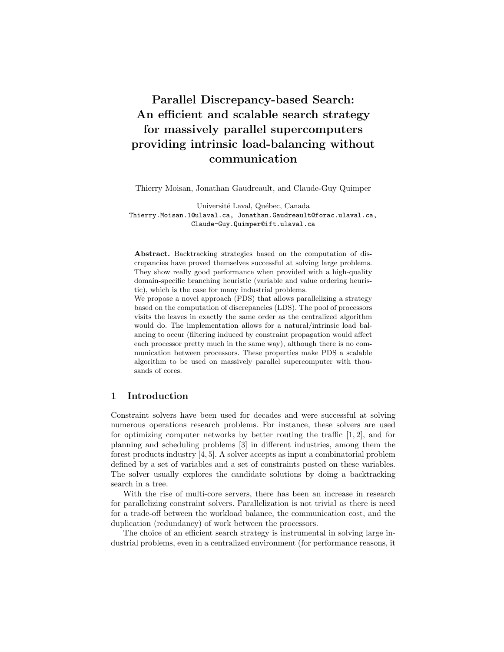# Parallel Discrepancy-based Search: An efficient and scalable search strategy for massively parallel supercomputers providing intrinsic load-balancing without communication

Thierry Moisan, Jonathan Gaudreault, and Claude-Guy Quimper

Université Laval, Québec, Canada Thierry.Moisan.1@ulaval.ca, Jonathan.Gaudreault@forac.ulaval.ca, Claude-Guy.Quimper@ift.ulaval.ca

Abstract. Backtracking strategies based on the computation of discrepancies have proved themselves successful at solving large problems. They show really good performance when provided with a high-quality domain-specific branching heuristic (variable and value ordering heuristic), which is the case for many industrial problems.

We propose a novel approach (PDS) that allows parallelizing a strategy based on the computation of discrepancies (LDS). The pool of processors visits the leaves in exactly the same order as the centralized algorithm would do. The implementation allows for a natural/intrinsic load balancing to occur (filtering induced by constraint propagation would affect each processor pretty much in the same way), although there is no communication between processors. These properties make PDS a scalable algorithm to be used on massively parallel supercomputer with thousands of cores.

### 1 Introduction

Constraint solvers have been used for decades and were successful at solving numerous operations research problems. For instance, these solvers are used for optimizing computer networks by better routing the traffic  $[1, 2]$ , and for planning and scheduling problems [3] in different industries, among them the forest products industry [4, 5]. A solver accepts as input a combinatorial problem defined by a set of variables and a set of constraints posted on these variables. The solver usually explores the candidate solutions by doing a backtracking search in a tree.

With the rise of multi-core servers, there has been an increase in research for parallelizing constraint solvers. Parallelization is not trivial as there is need for a trade-off between the workload balance, the communication cost, and the duplication (redundancy) of work between the processors.

The choice of an efficient search strategy is instrumental in solving large industrial problems, even in a centralized environment (for performance reasons, it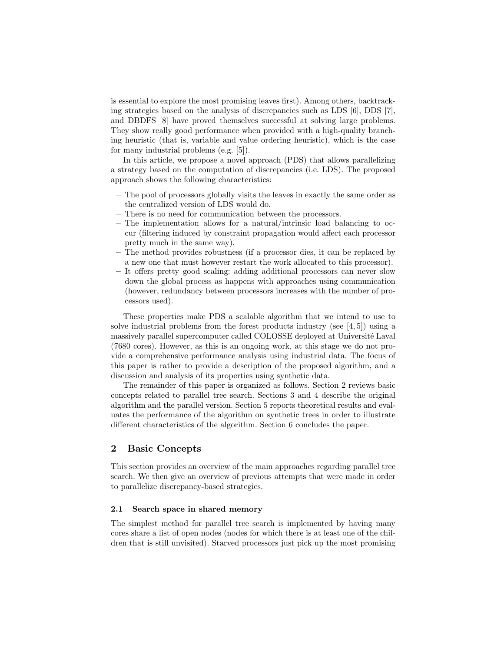is essential to explore the most promising leaves first). Among others, backtracking strategies based on the analysis of discrepancies such as LDS [6], DDS [7], and DBDFS [8] have proved themselves successful at solving large problems. They show really good performance when provided with a high-quality branching heuristic (that is, variable and value ordering heuristic), which is the case for many industrial problems (e.g. [5]).

In this article, we propose a novel approach (PDS) that allows parallelizing a strategy based on the computation of discrepancies (i.e. LDS). The proposed approach shows the following characteristics:

- The pool of processors globally visits the leaves in exactly the same order as the centralized version of LDS would do.
- There is no need for communication between the processors.
- The implementation allows for a natural/intrinsic load balancing to occur (filtering induced by constraint propagation would affect each processor pretty much in the same way).
- The method provides robustness (if a processor dies, it can be replaced by a new one that must however restart the work allocated to this processor).
- It offers pretty good scaling: adding additional processors can never slow down the global process as happens with approaches using communication (however, redundancy between processors increases with the number of processors used).

These properties make PDS a scalable algorithm that we intend to use to solve industrial problems from the forest products industry (see  $[4, 5]$ ) using a massively parallel supercomputer called COLOSSE deployed at Université Laval (7680 cores). However, as this is an ongoing work, at this stage we do not provide a comprehensive performance analysis using industrial data. The focus of this paper is rather to provide a description of the proposed algorithm, and a discussion and analysis of its properties using synthetic data.

The remainder of this paper is organized as follows. Section 2 reviews basic concepts related to parallel tree search. Sections 3 and 4 describe the original algorithm and the parallel version. Section 5 reports theoretical results and evaluates the performance of the algorithm on synthetic trees in order to illustrate different characteristics of the algorithm. Section 6 concludes the paper.

## 2 Basic Concepts

This section provides an overview of the main approaches regarding parallel tree search. We then give an overview of previous attempts that were made in order to parallelize discrepancy-based strategies.

#### 2.1 Search space in shared memory

The simplest method for parallel tree search is implemented by having many cores share a list of open nodes (nodes for which there is at least one of the children that is still unvisited). Starved processors just pick up the most promising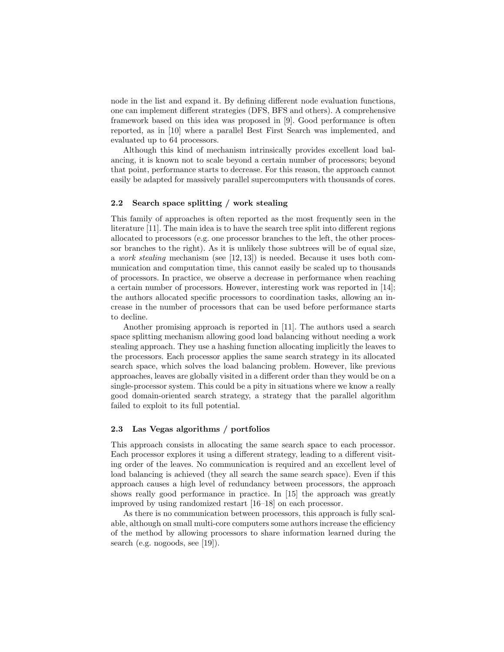node in the list and expand it. By defining different node evaluation functions, one can implement different strategies (DFS, BFS and others). A comprehensive framework based on this idea was proposed in [9]. Good performance is often reported, as in [10] where a parallel Best First Search was implemented, and evaluated up to 64 processors.

Although this kind of mechanism intrinsically provides excellent load balancing, it is known not to scale beyond a certain number of processors; beyond that point, performance starts to decrease. For this reason, the approach cannot easily be adapted for massively parallel supercomputers with thousands of cores.

#### 2.2 Search space splitting / work stealing

This family of approaches is often reported as the most frequently seen in the literature [11]. The main idea is to have the search tree split into different regions allocated to processors (e.g. one processor branches to the left, the other processor branches to the right). As it is unlikely those subtrees will be of equal size, a work stealing mechanism (see [12, 13]) is needed. Because it uses both communication and computation time, this cannot easily be scaled up to thousands of processors. In practice, we observe a decrease in performance when reaching a certain number of processors. However, interesting work was reported in [14]; the authors allocated specific processors to coordination tasks, allowing an increase in the number of processors that can be used before performance starts to decline.

Another promising approach is reported in [11]. The authors used a search space splitting mechanism allowing good load balancing without needing a work stealing approach. They use a hashing function allocating implicitly the leaves to the processors. Each processor applies the same search strategy in its allocated search space, which solves the load balancing problem. However, like previous approaches, leaves are globally visited in a different order than they would be on a single-processor system. This could be a pity in situations where we know a really good domain-oriented search strategy, a strategy that the parallel algorithm failed to exploit to its full potential.

### 2.3 Las Vegas algorithms / portfolios

This approach consists in allocating the same search space to each processor. Each processor explores it using a different strategy, leading to a different visiting order of the leaves. No communication is required and an excellent level of load balancing is achieved (they all search the same search space). Even if this approach causes a high level of redundancy between processors, the approach shows really good performance in practice. In [15] the approach was greatly improved by using randomized restart [16–18] on each processor.

As there is no communication between processors, this approach is fully scalable, although on small multi-core computers some authors increase the efficiency of the method by allowing processors to share information learned during the search (e.g. nogoods, see [19]).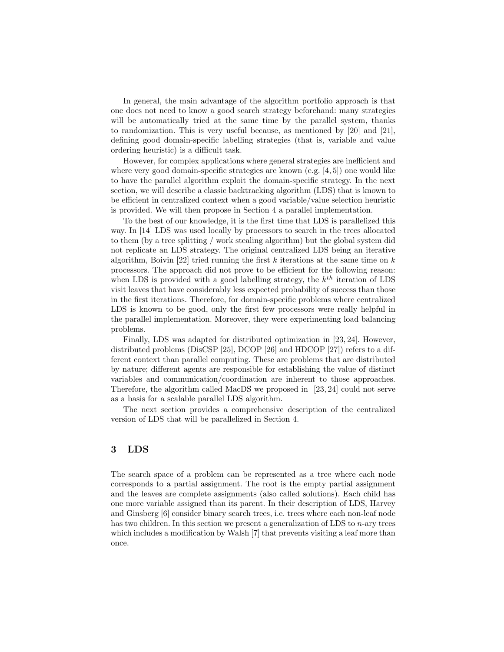In general, the main advantage of the algorithm portfolio approach is that one does not need to know a good search strategy beforehand: many strategies will be automatically tried at the same time by the parallel system, thanks to randomization. This is very useful because, as mentioned by [20] and [21], defining good domain-specific labelling strategies (that is, variable and value ordering heuristic) is a difficult task.

However, for complex applications where general strategies are inefficient and where very good domain-specific strategies are known (e.g. [4, 5]) one would like to have the parallel algorithm exploit the domain-specific strategy. In the next section, we will describe a classic backtracking algorithm (LDS) that is known to be efficient in centralized context when a good variable/value selection heuristic is provided. We will then propose in Section 4 a parallel implementation.

To the best of our knowledge, it is the first time that LDS is parallelized this way. In [14] LDS was used locally by processors to search in the trees allocated to them (by a tree splitting / work stealing algorithm) but the global system did not replicate an LDS strategy. The original centralized LDS being an iterative algorithm, Boivin [22] tried running the first k iterations at the same time on  $k$ processors. The approach did not prove to be efficient for the following reason: when LDS is provided with a good labelling strategy, the  $k^{th}$  iteration of LDS visit leaves that have considerably less expected probability of success than those in the first iterations. Therefore, for domain-specific problems where centralized LDS is known to be good, only the first few processors were really helpful in the parallel implementation. Moreover, they were experimenting load balancing problems.

Finally, LDS was adapted for distributed optimization in [23, 24]. However, distributed problems (DisCSP [25], DCOP [26] and HDCOP [27]) refers to a different context than parallel computing. These are problems that are distributed by nature; different agents are responsible for establishing the value of distinct variables and communication/coordination are inherent to those approaches. Therefore, the algorithm called MacDS we proposed in [23, 24] could not serve as a basis for a scalable parallel LDS algorithm.

The next section provides a comprehensive description of the centralized version of LDS that will be parallelized in Section 4.

### 3 LDS

The search space of a problem can be represented as a tree where each node corresponds to a partial assignment. The root is the empty partial assignment and the leaves are complete assignments (also called solutions). Each child has one more variable assigned than its parent. In their description of LDS, Harvey and Ginsberg [6] consider binary search trees, i.e. trees where each non-leaf node has two children. In this section we present a generalization of LDS to  $n$ -ary trees which includes a modification by Walsh [7] that prevents visiting a leaf more than once.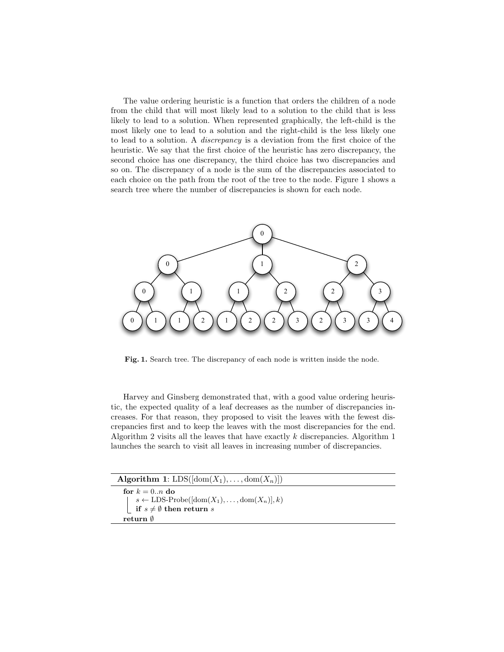The value ordering heuristic is a function that orders the children of a node from the child that will most likely lead to a solution to the child that is less likely to lead to a solution. When represented graphically, the left-child is the most likely one to lead to a solution and the right-child is the less likely one to lead to a solution. A discrepancy is a deviation from the first choice of the heuristic. We say that the first choice of the heuristic has zero discrepancy, the second choice has one discrepancy, the third choice has two discrepancies and so on. The discrepancy of a node is the sum of the discrepancies associated to each choice on the path from the root of the tree to the node. Figure 1 shows a search tree where the number of discrepancies is shown for each node.



Fig. 1. Search tree. The discrepancy of each node is written inside the node.

Harvey and Ginsberg demonstrated that, with a good value ordering heuristic, the expected quality of a leaf decreases as the number of discrepancies increases. For that reason, they proposed to visit the leaves with the fewest discrepancies first and to keep the leaves with the most discrepancies for the end. Algorithm 2 visits all the leaves that have exactly k discrepancies. Algorithm 1 launches the search to visit all leaves in increasing number of discrepancies.

| <b>Algorithm 1:</b> LDS( $[\text{dom}(X_1), \ldots, \text{dom}(X_n)]$ )                                                                       |  |
|-----------------------------------------------------------------------------------------------------------------------------------------------|--|
| for $k=0n$ do<br>$s \leftarrow \text{LDS-Probe}([\text{dom}(X_1), \ldots, \text{dom}(X_n)], k)$<br><b>if</b> $s \neq \emptyset$ then return s |  |
| return <sub>0</sub>                                                                                                                           |  |
|                                                                                                                                               |  |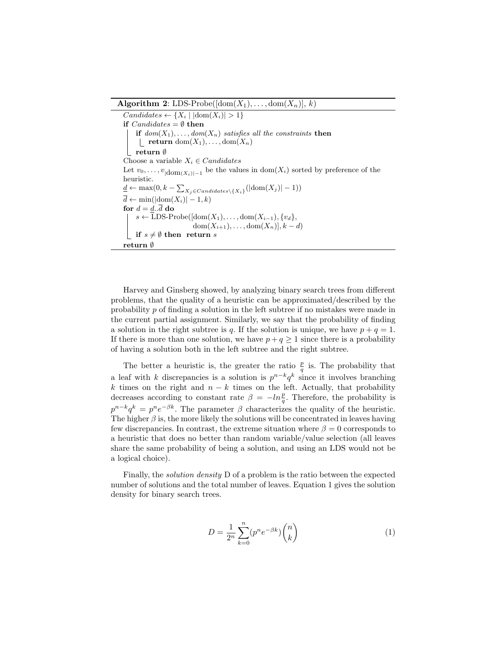**Algorithm 2:** LDS-Probe( $[\text{dom}(X_1), \ldots, \text{dom}(X_n)], k$ )

 $Candidates \leftarrow \{X_i \mid |dom(X_i)| > 1\}$ if  $Candidates = \emptyset$  then if  $dom(X_1), \ldots, dom(X_n)$  satisfies all the constraints then | return dom $(X_1), \ldots, \text{dom}(X_n)$ return ∅ Choose a variable  $X_i \in Candidates$ Let  $v_0, \ldots, v_{|\text{dom}(X_i)|-1}$  be the values in  $\text{dom}(X_i)$  sorted by preference of the heuristic.  $\underline{d} \leftarrow \max(0, k - \sum_{X_j \in Candidates \setminus \{X_i\}}(|\text{dom}(X_j)| - 1))$  $\overline{d} \leftarrow \min(|\text{dom}(X_i)| - 1, k)$ for  $d = d \cdot \overline{d}$  do  $s \leftarrow \text{LDS-Probe}(\text{dom}(X_1), \ldots, \text{dom}(X_{i-1}), \{v_d\},$  $dom(X_{i+1}), \ldots, dom(X_n)], k-d$ if  $s \neq \emptyset$  then return s return ∅

Harvey and Ginsberg showed, by analyzing binary search trees from different problems, that the quality of a heuristic can be approximated/described by the probability p of finding a solution in the left subtree if no mistakes were made in the current partial assignment. Similarly, we say that the probability of finding a solution in the right subtree is q. If the solution is unique, we have  $p + q = 1$ . If there is more than one solution, we have  $p + q \geq 1$  since there is a probability of having a solution both in the left subtree and the right subtree.

The better a heuristic is, the greater the ratio  $\frac{p}{q}$  is. The probability that a leaf with k discrepancies is a solution is  $p^{n-k}q^k$  since it involves branching k times on the right and  $n - k$  times on the left. Actually, that probability decreases according to constant rate  $\beta = -\ln\frac{p}{q}$ . Therefore, the probability is  $p^{n-k}q^k = p^n e^{-\beta k}$ . The parameter  $\beta$  characterizes the quality of the heuristic. The higher  $\beta$  is, the more likely the solutions will be concentrated in leaves having few discrepancies. In contrast, the extreme situation where  $\beta = 0$  corresponds to a heuristic that does no better than random variable/value selection (all leaves share the same probability of being a solution, and using an LDS would not be a logical choice).

Finally, the solution density D of a problem is the ratio between the expected number of solutions and the total number of leaves. Equation 1 gives the solution density for binary search trees.

$$
D = \frac{1}{2^n} \sum_{k=0}^n (p^n e^{-\beta k}) \binom{n}{k} \tag{1}
$$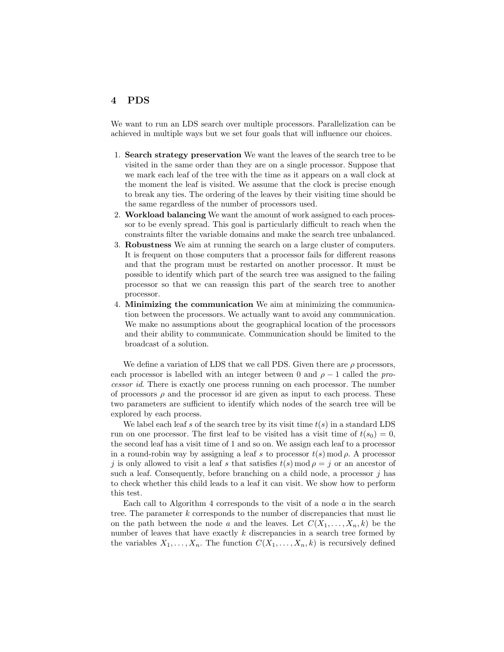## 4 PDS

We want to run an LDS search over multiple processors. Parallelization can be achieved in multiple ways but we set four goals that will influence our choices.

- 1. Search strategy preservation We want the leaves of the search tree to be visited in the same order than they are on a single processor. Suppose that we mark each leaf of the tree with the time as it appears on a wall clock at the moment the leaf is visited. We assume that the clock is precise enough to break any ties. The ordering of the leaves by their visiting time should be the same regardless of the number of processors used.
- 2. Workload balancing We want the amount of work assigned to each processor to be evenly spread. This goal is particularly difficult to reach when the constraints filter the variable domains and make the search tree unbalanced.
- 3. Robustness We aim at running the search on a large cluster of computers. It is frequent on those computers that a processor fails for different reasons and that the program must be restarted on another processor. It must be possible to identify which part of the search tree was assigned to the failing processor so that we can reassign this part of the search tree to another processor.
- 4. Minimizing the communication We aim at minimizing the communication between the processors. We actually want to avoid any communication. We make no assumptions about the geographical location of the processors and their ability to communicate. Communication should be limited to the broadcast of a solution.

We define a variation of LDS that we call PDS. Given there are  $\rho$  processors, each processor is labelled with an integer between 0 and  $\rho - 1$  called the processor id. There is exactly one process running on each processor. The number of processors  $\rho$  and the processor id are given as input to each process. These two parameters are sufficient to identify which nodes of the search tree will be explored by each process.

We label each leaf s of the search tree by its visit time  $t(s)$  in a standard LDS run on one processor. The first leaf to be visited has a visit time of  $t(s_0) = 0$ , the second leaf has a visit time of 1 and so on. We assign each leaf to a processor in a round-robin way by assigning a leaf s to processor  $t(s) \mod \rho$ . A processor j is only allowed to visit a leaf s that satisfies  $t(s) \mod p = j$  or an ancestor of such a leaf. Consequently, before branching on a child node, a processor  $i$  has to check whether this child leads to a leaf it can visit. We show how to perform this test.

Each call to Algorithm 4 corresponds to the visit of a node  $a$  in the search tree. The parameter  $k$  corresponds to the number of discrepancies that must lie on the path between the node a and the leaves. Let  $C(X_1, \ldots, X_n, k)$  be the number of leaves that have exactly  $k$  discrepancies in a search tree formed by the variables  $X_1, \ldots, X_n$ . The function  $C(X_1, \ldots, X_n, k)$  is recursively defined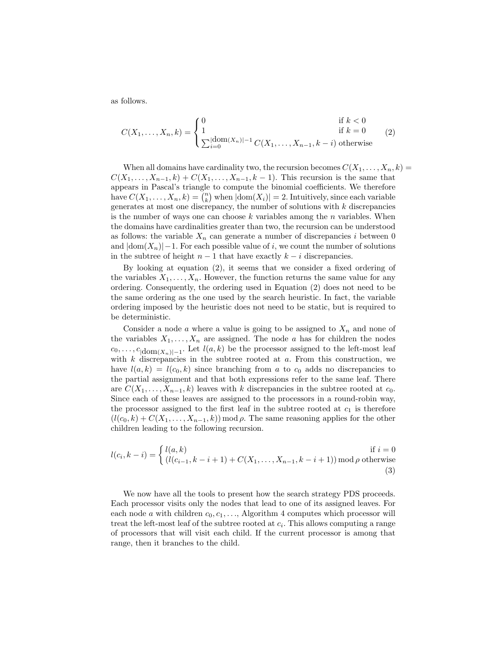as follows.

$$
C(X_1, ..., X_n, k) = \begin{cases} 0 & \text{if } k < 0\\ 1 & \text{if } k = 0\\ \sum_{i=0}^{\lfloor \text{dom}(X_n) \rfloor - 1} C(X_1, ..., X_{n-1}, k - i) & \text{otherwise} \end{cases}
$$
(2)

When all domains have cardinality two, the recursion becomes  $C(X_1, \ldots, X_n, k)$  $C(X_1, ..., X_{n-1}, k) + C(X_1, ..., X_{n-1}, k-1)$ . This recursion is the same that appears in Pascal's triangle to compute the binomial coefficients. We therefore have  $C(X_1, \ldots, X_n, k) = \binom{n}{k}$  when  $|\text{dom}(X_i)| = 2$ . Intuitively, since each variable generates at most one discrepancy, the number of solutions with k discrepancies is the number of ways one can choose  $k$  variables among the  $n$  variables. When the domains have cardinalities greater than two, the recursion can be understood as follows: the variable  $X_n$  can generate a number of discrepancies i between 0 and  $|dom(X_n)|-1$ . For each possible value of i, we count the number of solutions in the subtree of height  $n-1$  that have exactly  $k-i$  discrepancies.

By looking at equation (2), it seems that we consider a fixed ordering of the variables  $X_1, \ldots, X_n$ . However, the function returns the same value for any ordering. Consequently, the ordering used in Equation (2) does not need to be the same ordering as the one used by the search heuristic. In fact, the variable ordering imposed by the heuristic does not need to be static, but is required to be deterministic.

Consider a node a where a value is going to be assigned to  $X_n$  and none of the variables  $X_1, \ldots, X_n$  are assigned. The node a has for children the nodes  $c_0, \ldots, c_{|\text{dom}(X_n)|-1}$ . Let  $l(a, k)$  be the processor assigned to the left-most leaf with  $k$  discrepancies in the subtree rooted at  $a$ . From this construction, we have  $l(a, k) = l(c_0, k)$  since branching from a to  $c_0$  adds no discrepancies to the partial assignment and that both expressions refer to the same leaf. There are  $C(X_1, \ldots, X_{n-1}, k)$  leaves with k discrepancies in the subtree rooted at  $c_0$ . Since each of these leaves are assigned to the processors in a round-robin way, the processor assigned to the first leaf in the subtree rooted at  $c_1$  is therefore  $(l(c_0, k) + C(X_1, \ldots, X_{n-1}, k)$  mod  $\rho$ . The same reasoning applies for the other children leading to the following recursion.

$$
l(c_i, k-i) = \begin{cases} l(a,k) & \text{if } i = 0\\ (l(c_{i-1}, k-i+1) + C(X_1, \dots, X_{n-1}, k-i+1)) \bmod \rho \text{ otherwise} \\ (3) & \text{otherwise} \end{cases}
$$

We now have all the tools to present how the search strategy PDS proceeds. Each processor visits only the nodes that lead to one of its assigned leaves. For each node a with children  $c_0, c_1, \ldots$ , Algorithm 4 computes which processor will treat the left-most leaf of the subtree rooted at  $c_i$ . This allows computing a range of processors that will visit each child. If the current processor is among that range, then it branches to the child.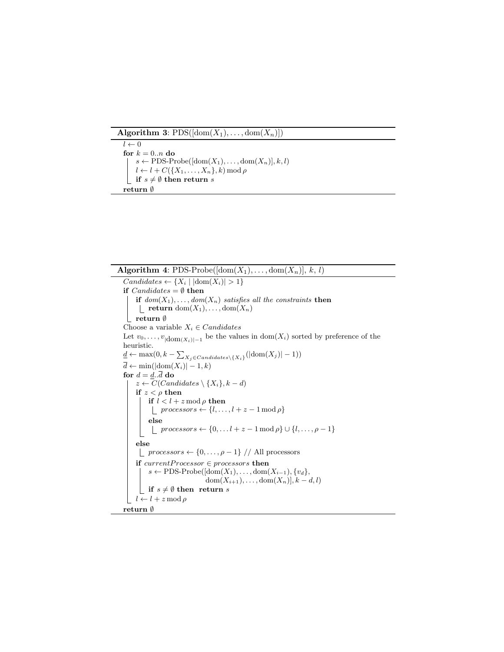Algorithm 3:  $\text{PDS}([\text{dom}(X_1), \ldots, \text{dom}(X_n)])$ 

 $l \leftarrow 0$ for  $k=0..n$ do  $s \leftarrow \text{PDS-Probe}([\text{dom}(X_1), \ldots, \text{dom}(X_n)], k, l)$  $l \leftarrow l + C({X_1, \ldots, X_n}, k) \mod \rho$ **if**  $s \neq \emptyset$  then return s return $\emptyset$ 

**Algorithm 4:** PDS-Probe( $[\text{dom}(X_1), \ldots, \text{dom}(X_n)], k, l$ )  $Candidates \leftarrow \{X_i \mid |dom(X_i)| > 1\}$ if  $Candidates = \emptyset$  then if  $dom(X_1), \ldots, dom(X_n)$  satisfies all the constraints then **return** dom $(X_1), \ldots, \text{dom}(X_n)$ return ∅ Choose a variable  $X_i \in Candidates$ Let  $v_0, \ldots, v_{|\text{dom}(X_i)|-1}$  be the values in  $\text{dom}(X_i)$  sorted by preference of the heuristic.  $\underline{d} \leftarrow \max(0, k - \sum_{X_j \in Candidates \setminus \{X_i\}}(|\text{dom}(X_j)| - 1))$  $\overline{d} \leftarrow \min(|\text{dom}(X_i)| - 1, k)$ for  $d = \underline{d} \cdot \overline{d}$  do  $z \leftarrow C(Candidates \setminus \{X_i\}, k - d)$ if  $z < \rho$  then if  $l < l + z \mod \rho$  then |  $processors \leftarrow \{l, \ldots, l + z - 1 \mod \rho\}$ else  $\lfloor$  processors  $\leftarrow \{0, \ldots l + z - 1 \mod p\} \cup \{l, \ldots, \rho - 1\}$ else  $\lfloor$  processors ← {0, ...,  $\rho$  – 1} // All processors if  $currentProcessor \in processors$  then s ← PDS-Probe( $\lbrack \text{dom}(X_1), \ldots, \text{dom}(X_{i-1}), \{v_d\},\$ dom $(X_{i+1}), \ldots, \text{dom}(X_n)], k-d, l$  $\bigsqcup$  if  $s\neq\emptyset$  then  $% \mathcal{O}_{\mathcal{A}}\left( \mathcal{A}\right)$  return  $s$  $l \leftarrow l + z \mod \rho$ return ∅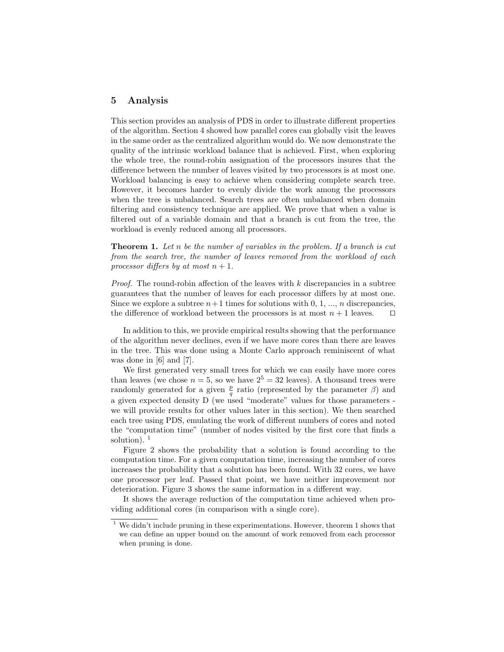#### 5 Analysis

This section provides an analysis of PDS in order to illustrate different properties of the algorithm. Section 4 showed how parallel cores can globally visit the leaves in the same order as the centralized algorithm would do. We now demonstrate the quality of the intrinsic workload balance that is achieved. First, when exploring the whole tree, the round-robin assignation of the processors insures that the difference between the number of leaves visited by two processors is at most one. Workload balancing is easy to achieve when considering complete search tree. However, it becomes harder to evenly divide the work among the processors when the tree is unbalanced. Search trees are often unbalanced when domain filtering and consistency technique are applied. We prove that when a value is filtered out of a variable domain and that a branch is cut from the tree, the workload is evenly reduced among all processors.

**Theorem 1.** Let n be the number of variables in the problem. If a branch is cut from the search tree, the number of leaves removed from the workload of each processor differs by at most  $n + 1$ .

*Proof.* The round-robin affection of the leaves with  $k$  discrepancies in a subtree guarantees that the number of leaves for each processor differs by at most one. Since we explore a subtree  $n+1$  times for solutions with 0, 1, ..., n discrepancies, the difference of workload between the processors is at most  $n + 1$  leaves.  $\square$ 

In addition to this, we provide empirical results showing that the performance of the algorithm never declines, even if we have more cores than there are leaves in the tree. This was done using a Monte Carlo approach reminiscent of what was done in [6] and [7].

We first generated very small trees for which we can easily have more cores than leaves (we chose  $n = 5$ , so we have  $2^5 = 32$  leaves). A thousand trees were randomly generated for a given  $\frac{p}{q}$  ratio (represented by the parameter  $\beta$ ) and a given expected density D (we used "moderate" values for those parameters we will provide results for other values later in this section). We then searched each tree using PDS, emulating the work of different numbers of cores and noted the "computation time" (number of nodes visited by the first core that finds a solution).  $<sup>1</sup>$ </sup>

Figure 2 shows the probability that a solution is found according to the computation time. For a given computation time, increasing the number of cores increases the probability that a solution has been found. With 32 cores, we have one processor per leaf. Passed that point, we have neither improvement nor deterioration. Figure 3 shows the same information in a different way.

It shows the average reduction of the computation time achieved when providing additional cores (in comparison with a single core).

 $^{\rm 1}$  We didn't include pruning in these experimentations. However, theorem 1 shows that we can define an upper bound on the amount of work removed from each processor when pruning is done.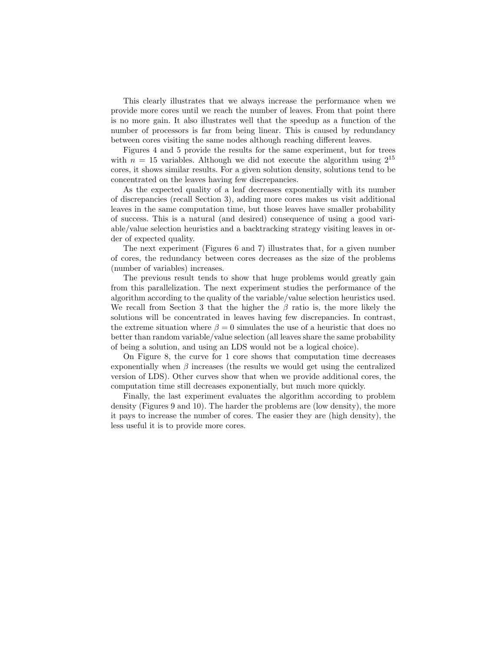This clearly illustrates that we always increase the performance when we provide more cores until we reach the number of leaves. From that point there is no more gain. It also illustrates well that the speedup as a function of the number of processors is far from being linear. This is caused by redundancy between cores visiting the same nodes although reaching different leaves.

Figures 4 and 5 provide the results for the same experiment, but for trees with  $n = 15$  variables. Although we did not execute the algorithm using  $2^{15}$ cores, it shows similar results. For a given solution density, solutions tend to be concentrated on the leaves having few discrepancies.

As the expected quality of a leaf decreases exponentially with its number of discrepancies (recall Section 3), adding more cores makes us visit additional leaves in the same computation time, but those leaves have smaller probability of success. This is a natural (and desired) consequence of using a good variable/value selection heuristics and a backtracking strategy visiting leaves in order of expected quality.

The next experiment (Figures 6 and 7) illustrates that, for a given number of cores, the redundancy between cores decreases as the size of the problems (number of variables) increases.

The previous result tends to show that huge problems would greatly gain from this parallelization. The next experiment studies the performance of the algorithm according to the quality of the variable/value selection heuristics used. We recall from Section 3 that the higher the  $\beta$  ratio is, the more likely the solutions will be concentrated in leaves having few discrepancies. In contrast, the extreme situation where  $\beta = 0$  simulates the use of a heuristic that does no better than random variable/value selection (all leaves share the same probability of being a solution, and using an LDS would not be a logical choice).

On Figure 8, the curve for 1 core shows that computation time decreases exponentially when  $\beta$  increases (the results we would get using the centralized version of LDS). Other curves show that when we provide additional cores, the computation time still decreases exponentially, but much more quickly.

Finally, the last experiment evaluates the algorithm according to problem density (Figures 9 and 10). The harder the problems are (low density), the more it pays to increase the number of cores. The easier they are (high density), the less useful it is to provide more cores.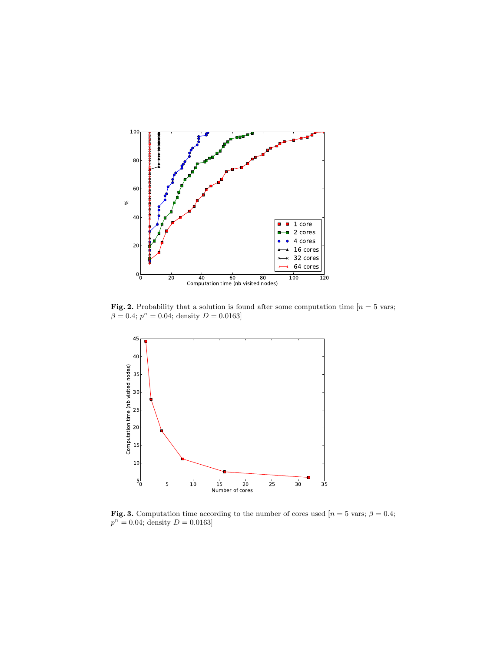

**Fig. 2.** Probability that a solution is found after some computation time  $[n = 5 \text{ vars}]$ ;  $\beta = 0.4; p^n = 0.04;$  density  $D = 0.0163$ 



Fig. 3. Computation time according to the number of cores used [ $n = 5$  vars;  $\beta = 0.4$ ;  $p^{n} = 0.04$ ; density  $D = 0.0163$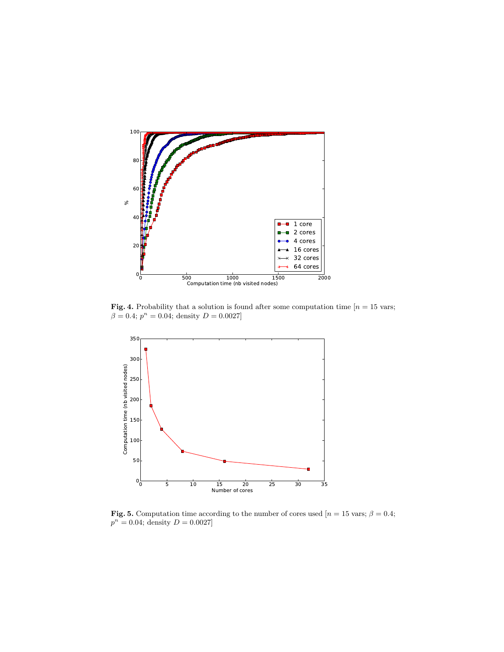

Fig. 4. Probability that a solution is found after some computation time  $[n = 15 \text{ vars};$  $\beta = 0.4; p^n = 0.04;$  density  $D = 0.0027$ 



Fig. 5. Computation time according to the number of cores used  $[n = 15 \text{ vars}; \beta = 0.4;$  $p^{n} = 0.04$ ; density  $D = 0.0027$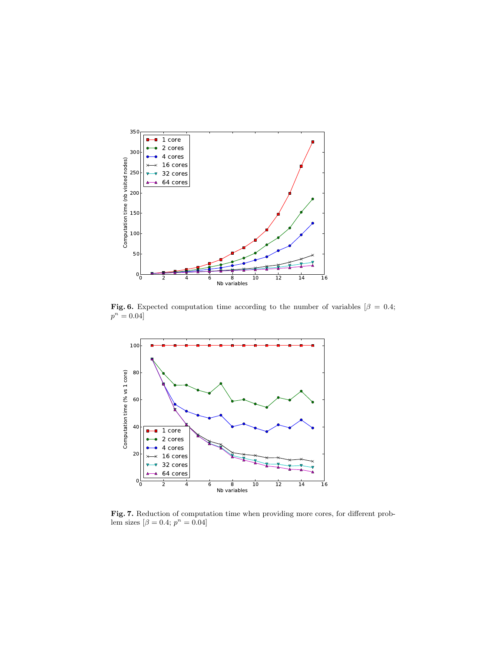

Fig. 6. Expected computation time according to the number of variables [ $\beta = 0.4$ ;  $p^n = 0.04$ 



Fig. 7. Reduction of computation time when providing more cores, for different problem sizes  $\beta = 0.4; p^n = 0.04$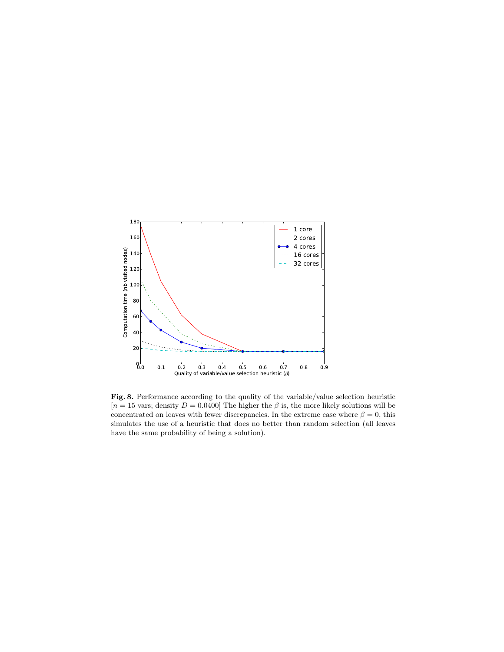

Fig. 8. Performance according to the quality of the variable/value selection heuristic  $[n = 15 \text{ vars};$  density  $D = 0.0400$  The higher the  $\beta$  is, the more likely solutions will be concentrated on leaves with fewer discrepancies. In the extreme case where  $\beta = 0$ , this simulates the use of a heuristic that does no better than random selection (all leaves have the same probability of being a solution).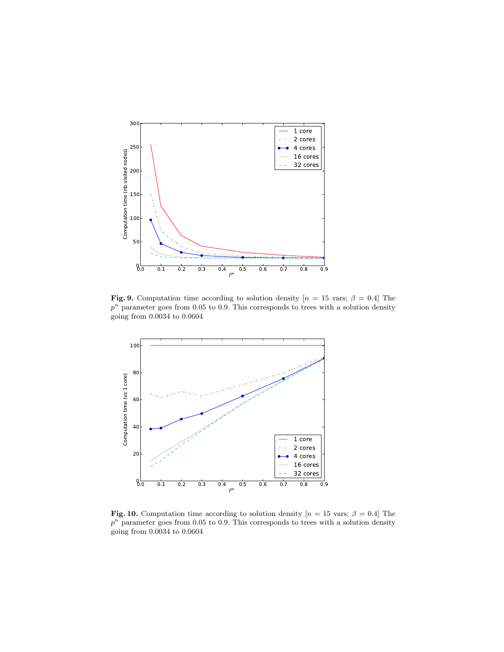

Fig. 9. Computation time according to solution density  $[n = 15 \text{ vars}; \beta = 0.4]$  The  $p<sup>n</sup>$  parameter goes from 0.05 to 0.9. This corresponds to trees with a solution density going from 0.0034 to 0.0604



Fig. 10. Computation time according to solution density  $[n = 15 \text{ vars}; \beta = 0.4]$  The  $p<sup>n</sup>$  parameter goes from 0.05 to 0.9. This corresponds to trees with a solution density going from 0.0034 to 0.0604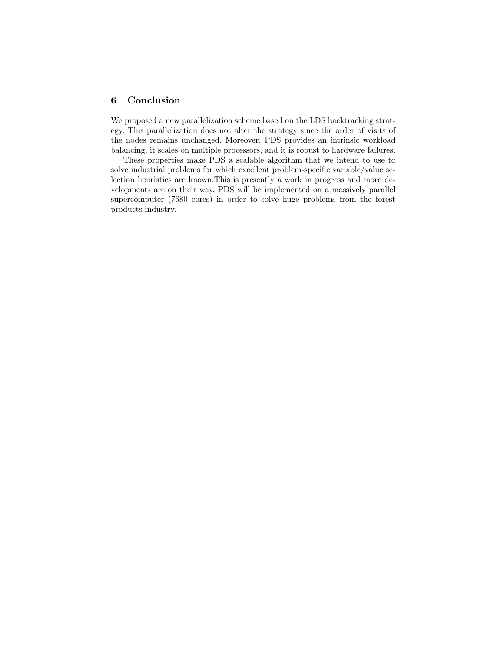## 6 Conclusion

We proposed a new parallelization scheme based on the LDS backtracking strategy. This parallelization does not alter the strategy since the order of visits of the nodes remains unchanged. Moreover, PDS provides an intrinsic workload balancing, it scales on multiple processors, and it is robust to hardware failures.

These properties make PDS a scalable algorithm that we intend to use to solve industrial problems for which excellent problem-specific variable/value selection heuristics are known.This is presently a work in progress and more developments are on their way. PDS will be implemented on a massively parallel supercomputer (7680 cores) in order to solve huge problems from the forest products industry.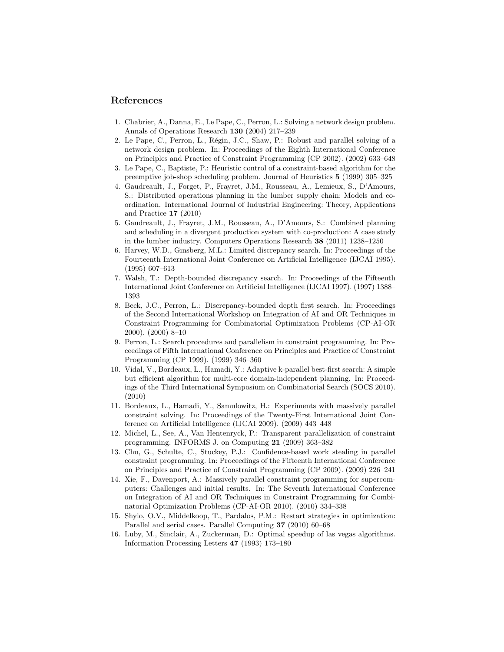#### References

- 1. Chabrier, A., Danna, E., Le Pape, C., Perron, L.: Solving a network design problem. Annals of Operations Research 130 (2004) 217–239
- 2. Le Pape, C., Perron, L., Régin, J.C., Shaw, P.: Robust and parallel solving of a network design problem. In: Proceedings of the Eighth International Conference on Principles and Practice of Constraint Programming (CP 2002). (2002) 633–648
- 3. Le Pape, C., Baptiste, P.: Heuristic control of a constraint-based algorithm for the preemptive job-shop scheduling problem. Journal of Heuristics 5 (1999) 305–325
- 4. Gaudreault, J., Forget, P., Frayret, J.M., Rousseau, A., Lemieux, S., D'Amours, S.: Distributed operations planning in the lumber supply chain: Models and coordination. International Journal of Industrial Engineering: Theory, Applications and Practice 17 (2010)
- 5. Gaudreault, J., Frayret, J.M., Rousseau, A., D'Amours, S.: Combined planning and scheduling in a divergent production system with co-production: A case study in the lumber industry. Computers Operations Research 38 (2011) 1238–1250
- 6. Harvey, W.D., Ginsberg, M.L.: Limited discrepancy search. In: Proceedings of the Fourteenth International Joint Conference on Artificial Intelligence (IJCAI 1995). (1995) 607–613
- 7. Walsh, T.: Depth-bounded discrepancy search. In: Proceedings of the Fifteenth International Joint Conference on Artificial Intelligence (IJCAI 1997). (1997) 1388– 1393
- 8. Beck, J.C., Perron, L.: Discrepancy-bounded depth first search. In: Proceedings of the Second International Workshop on Integration of AI and OR Techniques in Constraint Programming for Combinatorial Optimization Problems (CP-AI-OR 2000). (2000) 8–10
- 9. Perron, L.: Search procedures and parallelism in constraint programming. In: Proceedings of Fifth International Conference on Principles and Practice of Constraint Programming (CP 1999). (1999) 346–360
- 10. Vidal, V., Bordeaux, L., Hamadi, Y.: Adaptive k-parallel best-first search: A simple but efficient algorithm for multi-core domain-independent planning. In: Proceedings of the Third International Symposium on Combinatorial Search (SOCS 2010). (2010)
- 11. Bordeaux, L., Hamadi, Y., Samulowitz, H.: Experiments with massively parallel constraint solving. In: Proceedings of the Twenty-First International Joint Conference on Artificial Intelligence (IJCAI 2009). (2009) 443–448
- 12. Michel, L., See, A., Van Hentenryck, P.: Transparent parallelization of constraint programming. INFORMS J. on Computing 21 (2009) 363–382
- 13. Chu, G., Schulte, C., Stuckey, P.J.: Confidence-based work stealing in parallel constraint programming. In: Proceedings of the Fifteenth International Conference on Principles and Practice of Constraint Programming (CP 2009). (2009) 226–241
- 14. Xie, F., Davenport, A.: Massively parallel constraint programming for supercomputers: Challenges and initial results. In: The Seventh International Conference on Integration of AI and OR Techniques in Constraint Programming for Combinatorial Optimization Problems (CP-AI-OR 2010). (2010) 334–338
- 15. Shylo, O.V., Middelkoop, T., Pardalos, P.M.: Restart strategies in optimization: Parallel and serial cases. Parallel Computing 37 (2010) 60–68
- 16. Luby, M., Sinclair, A., Zuckerman, D.: Optimal speedup of las vegas algorithms. Information Processing Letters 47 (1993) 173–180